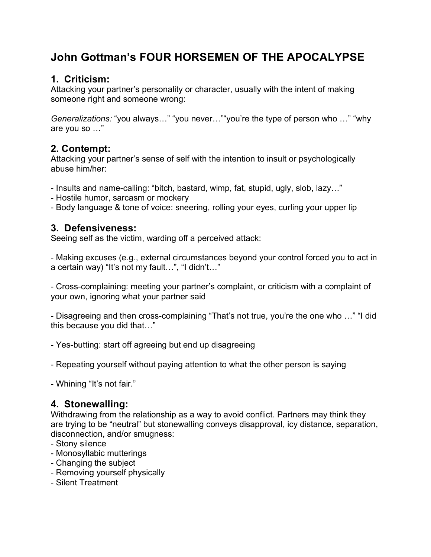# **John Gottman's FOUR HORSEMEN OF THE APOCALYPSE**

### **1. Criticism:**

Attacking your partner's personality or character, usually with the intent of making someone right and someone wrong:

*Generalizations:* "you always…" "you never…""you're the type of person who …" "why are you so …"

#### **2. Contempt:**

Attacking your partner's sense of self with the intention to insult or psychologically abuse him/her:

- Insults and name-calling: "bitch, bastard, wimp, fat, stupid, ugly, slob, lazy…"

- Hostile humor, sarcasm or mockery
- Body language & tone of voice: sneering, rolling your eyes, curling your upper lip

### **3. Defensiveness:**

Seeing self as the victim, warding off a perceived attack:

- Making excuses (e.g., external circumstances beyond your control forced you to act in a certain way) "It's not my fault…", "I didn't…"

- Cross-complaining: meeting your partner's complaint, or criticism with a complaint of your own, ignoring what your partner said

- Disagreeing and then cross-complaining "That's not true, you're the one who …" "I did this because you did that…"

- Yes-butting: start off agreeing but end up disagreeing
- Repeating yourself without paying attention to what the other person is saying
- Whining "It's not fair."

### **4. Stonewalling:**

Withdrawing from the relationship as a way to avoid conflict. Partners may think they are trying to be "neutral" but stonewalling conveys disapproval, icy distance, separation, disconnection, and/or smugness:

- Stony silence
- Monosyllabic mutterings
- Changing the subject
- Removing yourself physically
- Silent Treatment